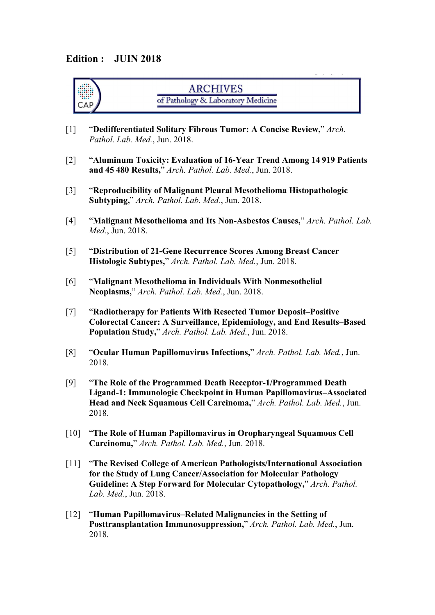#### **Edition : JUIN 2018**

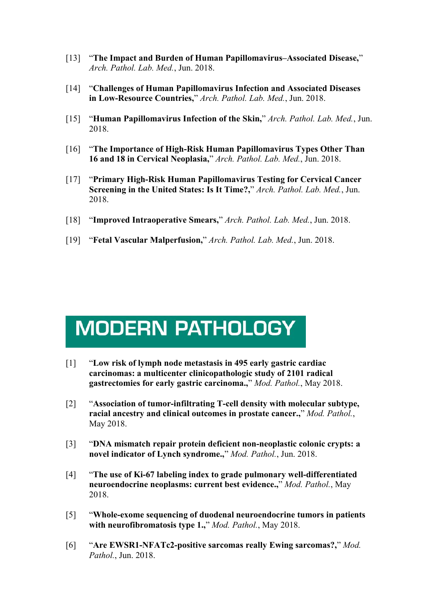- [13] "**The Impact and Burden of Human Papillomavirus–Associated Disease,**" *Arch. Pathol. Lab. Med.*, Jun. 2018.
- [14] "**Challenges ofHuman Papillomavirus Infection and Associated Diseases in Low-Resource Countries,**" *Arch. Pathol. Lab. Med.*, Jun. 2018.
- [15] "**Human Papillomavirus Infection of the Skin,**" *Arch. Pathol. Lab. Med.*, Jun. 2018.
- [16] "**The Importance of High-Risk Human Papillomavirus Types Other Than 16 and 18 in Cervical Neoplasia,**" *Arch. Pathol. Lab. Med.*, Jun. 2018.
- [17] "**Primary High-Risk Human Papillomavirus Testing for Cervical Cancer Screening in the United States: Is It Time?,**" *Arch. Pathol. Lab. Med.*, Jun. 2018.
- [18] "**Improved Intraoperative Smears,**" *Arch. Pathol. Lab. Med.*, Jun. 2018.
- [19] "**Fetal Vascular Malperfusion,**" *Arch. Pathol. Lab. Med.*, Jun. 2018.

## **MODERN PATHOLOGY**

- [1] "**Low risk of lymph node metastasis in 495 early gastric cardiac carcinomas: a multicenter clinicopathologic study of 2101 radical gastrectomies for early gastric carcinoma.,**" *Mod. Pathol.*, May 2018.
- [2] "**Association of tumor-infiltrating T-cell density with molecular subtype, racial ancestry and clinical outcomes in prostate cancer.,**" *Mod. Pathol.*, May 2018.
- [3] "**DNA mismatch repair protein deficient non-neoplastic colonic crypts: a novel indicator of Lynch syndrome.,**" *Mod. Pathol.*, Jun. 2018.
- [4] "**The use of Ki-67 labeling index to grade pulmonary well-differentiated neuroendocrine neoplasms: current best evidence.,**" *Mod. Pathol.*, May 2018.
- [5] "**Whole-exome sequencing of duodenal neuroendocrine tumors in patients with neurofibromatosis type 1.,**" *Mod. Pathol.*, May 2018.
- [6] "**Are EWSR1-NFATc2-positive sarcomas really Ewing sarcomas?,**" *Mod. Pathol.*, Jun. 2018.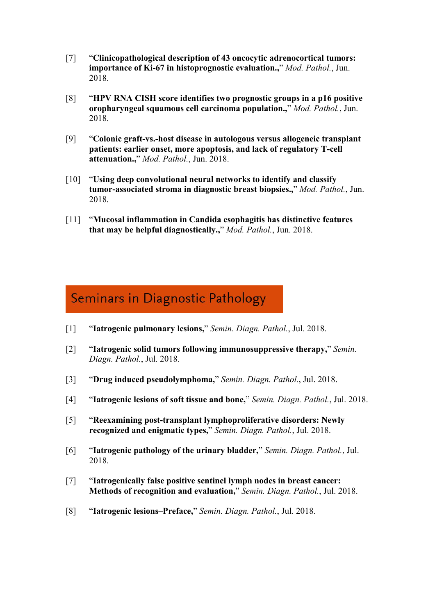- [7] "**Clinicopathological description of 43 oncocytic adrenocortical tumors: importance of Ki-67 in histoprognostic evaluation.,**" *Mod. Pathol.*, Jun. 2018.
- [8] "**HPV RNA CISH score identifies two prognostic groups in a p16 positive oropharyngeal squamous cell carcinoma population.,**" *Mod. Pathol.*, Jun. 2018.
- [9] "**Colonic graft-vs.-host disease in autologous versus allogeneic transplant patients: earlier onset, more apoptosis, and lack of regulatory T-cell attenuation.,**" *Mod. Pathol.*, Jun. 2018.
- [10] "**Using deep convolutional neural networks to identify and classify tumor-associated stroma in diagnostic breast biopsies.,**" *Mod. Pathol.*, Jun. 2018.
- [11] "**Mucosal inflammation in Candida esophagitis has distinctive features that may be helpful diagnostically.,**" *Mod. Pathol.*, Jun. 2018.

## Seminars in Diagnostic Pathology

- [1] "**Iatrogenic pulmonary lesions,**" *Semin. Diagn. Pathol.*, Jul. 2018.
- [2] "**Iatrogenic solid tumors following immunosuppressive therapy,**" *Semin. Diagn. Pathol.*, Jul. 2018.
- [3] "**Drug induced pseudolymphoma,**" *Semin. Diagn. Pathol.*, Jul. 2018.
- [4] "**Iatrogenic lesions ofsoft tissue and bone,**" *Semin. Diagn. Pathol.*, Jul. 2018.
- [5] "**Reexamining post-transplant lymphoproliferative disorders: Newly recognized and enigmatic types,**" *Semin. Diagn. Pathol.*, Jul. 2018.
- [6] "**Iatrogenic pathology of the urinary bladder,**" *Semin. Diagn. Pathol.*, Jul. 2018.
- [7] "**Iatrogenically false positive sentinel lymph nodes in breast cancer: Methods of recognition and evaluation,**" *Semin. Diagn. Pathol.*, Jul. 2018.
- [8] "**Iatrogenic lesions–Preface,**" *Semin. Diagn. Pathol.*, Jul. 2018.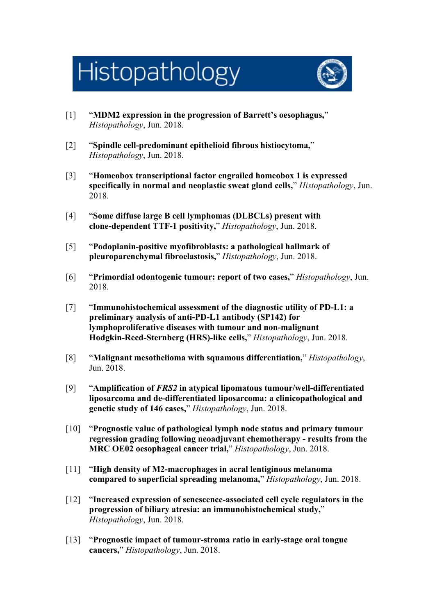# Histopathology



- [1] "**MDM2 expression in the progression of Barrett's oesophagus,**" *Histopathology*, Jun. 2018.
- [2] "**Spindle cell-predominant epithelioid fibrous histiocytoma,**" *Histopathology*, Jun. 2018.
- [3] "**Homeobox transcriptional factor engrailed homeobox 1 is expressed specifically in normal and neoplastic sweat gland cells,**" *Histopathology*, Jun. 2018.
- [4] "**Some diffuse large B cell lymphomas (DLBCLs) present with clone-dependent TTF-1 positivity,**" *Histopathology*, Jun. 2018.
- [5] "**Podoplanin-positive myofibroblasts: a pathological hallmark of pleuroparenchymal fibroelastosis,**" *Histopathology*, Jun. 2018.
- [6] "**Primordial odontogenic tumour: report of two cases,**" *Histopathology*, Jun. 2018.
- [7] "**Immunohistochemical assessment of the diagnostic utility of PD-L1: a preliminary analysis ofanti-PD-L1 antibody (SP142) for lymphoproliferative diseases with tumour and non-malignant Hodgkin-Reed-Sternberg (HRS)-like cells,**" *Histopathology*, Jun. 2018.
- [8] "**Malignant mesothelioma with squamous differentiation,**" *Histopathology*, Jun. 2018.
- [9] "**Amplification of** *FRS2* **in atypical lipomatous tumour/well-differentiated liposarcoma and de-differentiated liposarcoma: a clinicopathological and genetic study of 146 cases,**" *Histopathology*, Jun. 2018.
- [10] "**Prognostic value of pathological lymph node status and primary tumour regression grading following neoadjuvant chemotherapy - results from the MRC OE02 oesophageal cancer trial,**" *Histopathology*, Jun. 2018.
- [11] "**High density of M2-macrophages in acral lentiginous melanoma compared to superficial spreading melanoma,**" *Histopathology*, Jun. 2018.
- [12] "**Increased expression of senescence-associated cell cycle regulators in the progression of biliary atresia: an immunohistochemical study,**" *Histopathology*, Jun. 2018.
- [13] "**Prognostic impact of tumour-stroma ratio in early-stage oral tongue cancers,**" *Histopathology*, Jun. 2018.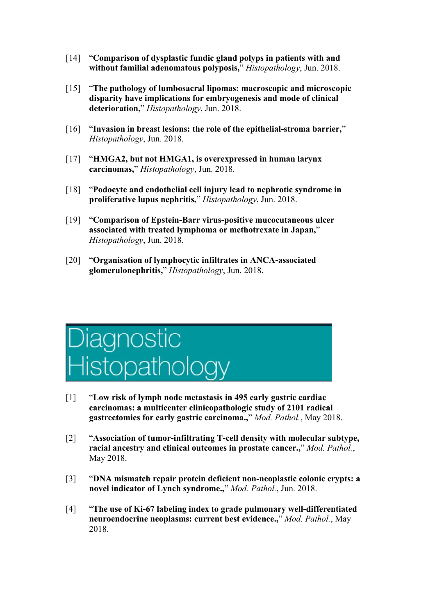- [14] "**Comparison of dysplastic fundic gland polyps in patients with and without familial adenomatous polyposis,**" *Histopathology*, Jun. 2018.
- [15] "**The pathology of lumbosacral lipomas: macroscopic and microscopic disparity have implications for embryogenesis and mode of clinical deterioration,**" *Histopathology*, Jun. 2018.
- [16] "**Invasion in breast lesions: the role of the epithelial-stroma barrier,**" *Histopathology*, Jun. 2018.
- [17] "**HMGA2, but not HMGA1, is overexpressed in human larynx carcinomas,**" *Histopathology*, Jun. 2018.
- [18] "**Podocyte and endothelial cell injury lead to nephrotic syndrome in proliferative lupus nephritis,**" *Histopathology*, Jun. 2018.
- [19] "**Comparison of Epstein-Barr virus-positive mucocutaneous ulcer associated with treated lymphoma or methotrexate in Japan,**" *Histopathology*, Jun. 2018.
- [20] "**Organisation of lymphocytic infiltrates in ANCA-associated glomerulonephritis,**" *Histopathology*, Jun. 2018.



- [1] "**Low risk of lymph node metastasis in 495 early gastric cardiac carcinomas: a multicenter clinicopathologic study of 2101 radical gastrectomies for early gastric carcinoma.,**" *Mod. Pathol.*, May 2018.
- [2] "**Association of tumor-infiltrating T-cell density with molecular subtype, racial ancestry and clinical outcomes in prostate cancer.,**" *Mod. Pathol.*, May 2018.
- [3] "**DNA mismatch repair protein deficient non-neoplastic colonic crypts: a novel indicator of Lynch syndrome.,**" *Mod. Pathol.*, Jun. 2018.
- [4] "**The use of Ki-67 labeling index to grade pulmonary well-differentiated neuroendocrine neoplasms: current best evidence.,**" *Mod. Pathol.*, May 2018.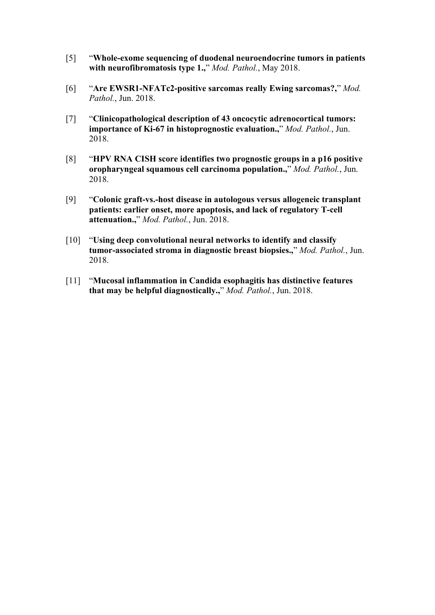- [5] "**Whole-exome sequencing of duodenal neuroendocrine tumors in patients with neurofibromatosis type 1.,**" *Mod. Pathol.*, May 2018.
- [6] "**Are EWSR1-NFATc2-positive sarcomas really Ewing sarcomas?,**" *Mod. Pathol.*, Jun. 2018.
- [7] "**Clinicopathological description of 43 oncocytic adrenocortical tumors: importance of Ki-67 in histoprognostic evaluation.,**" *Mod. Pathol.*, Jun. 2018.
- [8] "**HPV RNA CISH score identifies two prognostic groups in a p16 positive oropharyngeal squamous cell carcinoma population.,**" *Mod. Pathol.*, Jun. 2018.
- [9] "**Colonic graft-vs.-host disease in autologous versus allogeneic transplant patients: earlier onset, more apoptosis, and lack of regulatory T-cell attenuation.,**" *Mod. Pathol.*, Jun. 2018.
- [10] "**Using deep convolutional neural networks to identify and classify tumor-associated stroma in diagnostic breast biopsies.,**" *Mod. Pathol.*, Jun. 2018.
- [11] "**Mucosal inflammation in Candida esophagitis has distinctive features that may be helpful diagnostically.,**" *Mod. Pathol.*, Jun. 2018.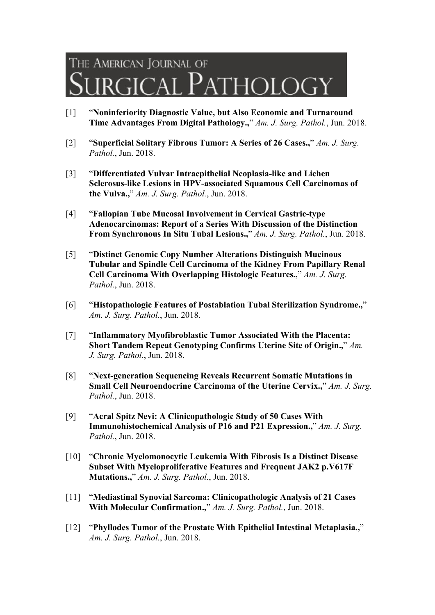## THE AMERICAN JOURNAL OF  $\overline{P}$ atholc

- [1] "**Noninferiority Diagnostic Value, but Also Economic and Turnaround Time Advantages From Digital Pathology.,**" *Am. J. Surg. Pathol.*, Jun. 2018.
- [2] "**Superficial Solitary Fibrous Tumor: A Series of26 Cases.,**" *Am. J. Surg. Pathol.*, Jun. 2018.
- [3] "**Differentiated Vulvar Intraepithelial Neoplasia-like and Lichen Sclerosus-like Lesions in HPV-associated Squamous Cell Carcinomas of the Vulva.,**" *Am. J. Surg. Pathol.*, Jun. 2018.
- [4] "**Fallopian Tube Mucosal Involvement in Cervical Gastric-type Adenocarcinomas: Report of a Series With Discussion of the Distinction From Synchronous In Situ Tubal Lesions.,**" *Am. J. Surg. Pathol.*, Jun. 2018.
- [5] "**Distinct Genomic Copy Number Alterations Distinguish Mucinous Tubular and Spindle Cell Carcinoma of the Kidney From Papillary Renal Cell Carcinoma With Overlapping Histologic Features.,**" *Am. J. Surg. Pathol.*, Jun. 2018.
- [6] "**Histopathologic Features of Postablation Tubal Sterilization Syndrome.,**" *Am. J. Surg. Pathol.*, Jun. 2018.
- [7] "**Inflammatory Myofibroblastic Tumor Associated With the Placenta: Short Tandem Repeat Genotyping Confirms Uterine Site of Origin.,**" *Am. J. Surg. Pathol.*, Jun. 2018.
- [8] "**Next-generation Sequencing Reveals Recurrent Somatic Mutations in Small Cell Neuroendocrine Carcinoma of the Uterine Cervix.,**" *Am. J. Surg. Pathol.*, Jun. 2018.
- [9] "**Acral Spitz Nevi: A Clinicopathologic Study of 50 Cases With Immunohistochemical Analysis of P16 and P21 Expression.,**" *Am. J. Surg. Pathol.*, Jun. 2018.
- [10] "**Chronic Myelomonocytic Leukemia With Fibrosis Is a Distinct Disease Subset With Myeloproliferative Features and Frequent JAK2 p.V617F Mutations.,**" *Am. J. Surg. Pathol.*, Jun. 2018.
- [11] "**Mediastinal Synovial Sarcoma: Clinicopathologic Analysis of 21 Cases With Molecular Confirmation.,**" *Am. J. Surg. Pathol.*, Jun. 2018.
- [12] "**Phyllodes Tumor of the Prostate With Epithelial Intestinal Metaplasia.,**" *Am. J. Surg. Pathol.*, Jun. 2018.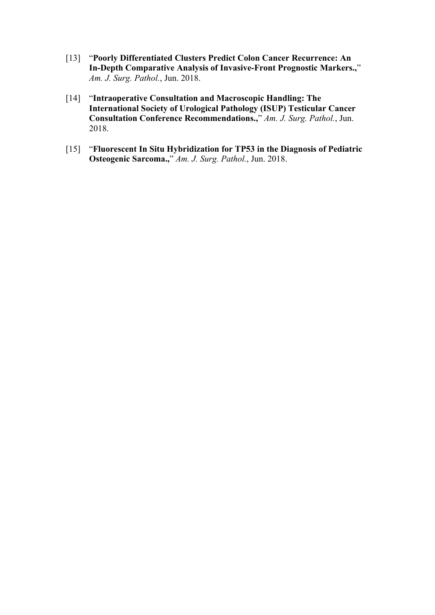- [13] "**Poorly Differentiated Clusters Predict Colon Cancer Recurrence: An In-Depth Comparative Analysis ofInvasive-Front Prognostic Markers.,**" *Am. J. Surg. Pathol.*, Jun. 2018.
- [14] "**Intraoperative Consultation and Macroscopic Handling: The International Society of Urological Pathology (ISUP) Testicular Cancer Consultation Conference Recommendations.,**" *Am. J. Surg. Pathol.*, Jun. 2018.
- [15] "**Fluorescent In Situ Hybridization for TP53 in the Diagnosis ofPediatric Osteogenic Sarcoma.,**" *Am. J. Surg. Pathol.*, Jun. 2018.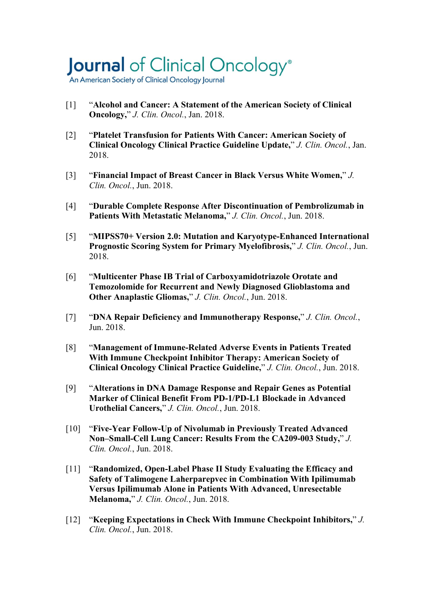# Journal of Clinical Oncology®

An American Society of Clinical Oncology Journal

- [1] "**Alcohol and Cancer: A Statement of the American Society of Clinical Oncology,**" *J. Clin. Oncol.*, Jan. 2018.
- [2] "**Platelet Transfusion for Patients With Cancer: American Society of Clinical Oncology Clinical Practice Guideline Update,**" *J. Clin. Oncol.*, Jan. 2018.
- [3] "**Financial Impact of Breast Cancer in Black VersusWhite Women,**" *J. Clin. Oncol.*, Jun. 2018.
- [4] "**Durable Complete Response After Discontinuation of Pembrolizumab in Patients With Metastatic Melanoma,**" *J. Clin. Oncol.*, Jun. 2018.
- [5] "**MIPSS70+ Version 2.0: Mutation and Karyotype-Enhanced International Prognostic Scoring System for Primary Myelofibrosis,**" *J. Clin. Oncol.*, Jun. 2018.
- [6] "**Multicenter Phase IB Trial of Carboxyamidotriazole Orotate and Temozolomide for Recurrent and Newly Diagnosed Glioblastoma and Other Anaplastic Gliomas,**" *J. Clin. Oncol.*, Jun. 2018.
- [7] "**DNA Repair Deficiency and Immunotherapy Response,**" *J. Clin. Oncol.*, Jun. 2018.
- [8] "**Management of Immune-Related Adverse Events in Patients Treated With Immune Checkpoint Inhibitor Therapy: American Society of Clinical Oncology Clinical Practice Guideline,**" *J. Clin. Oncol.*, Jun. 2018.
- [9] "**Alterations in DNA Damage Response and Repair Genes as Potential Marker of Clinical Benefit From PD-1/PD-L1 Blockade in Advanced Urothelial Cancers,**" *J. Clin. Oncol.*, Jun. 2018.
- [10] "**Five-Year Follow-Up of Nivolumab in Previously Treated Advanced Non–Small-Cell Lung Cancer: Results From the CA209-003 Study,**" *J. Clin. Oncol.*, Jun. 2018.
- [11] "**Randomized, Open-Label Phase IIStudy Evaluating the Efficacy and Safety of Talimogene Laherparepvec in Combination With Ipilimumab Versus Ipilimumab Alone in Patients With Advanced, Unresectable Melanoma,**" *J. Clin. Oncol.*, Jun. 2018.
- [12] "**Keeping Expectations in Check With Immune Checkpoint Inhibitors,**" *J. Clin. Oncol.*, Jun. 2018.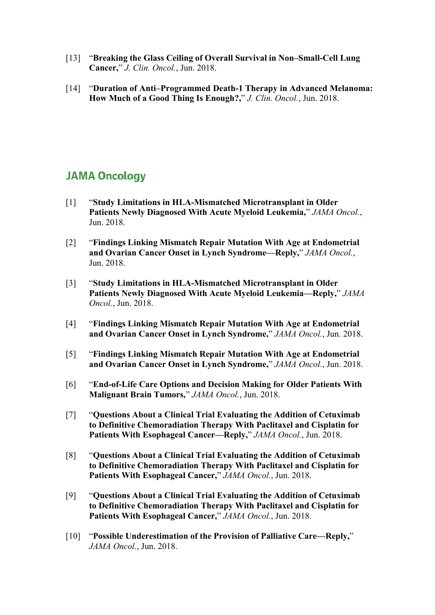- [13] "**Breaking the Glass Ceiling of Overall Survival in Non–Small-Cell Lung Cancer,**" *J. Clin. Oncol.*, Jun. 2018.
- [14] "**Duration of Anti–Programmed Death-1 Therapy in Advanced Melanoma: How Much of a Good Thing Is Enough?,**" *J. Clin. Oncol.*, Jun. 2018.

### **JAMA Oncology**

- [1] "**Study Limitations in HLA-Mismatched Microtransplant in Older Patients Newly Diagnosed With Acute Myeloid Leukemia,**" *JAMA Oncol.*, Jun. 2018.
- [2] "**Findings Linking Mismatch Repair Mutation With Age at Endometrial and Ovarian Cancer Onset in Lynch Syndrome—Reply,**" *JAMA Oncol.*, Jun. 2018.
- [3] "**Study Limitations in HLA-Mismatched Microtransplant in Older Patients Newly Diagnosed With Acute Myeloid Leukemia—Reply,**" *JAMA Oncol.*, Jun. 2018.
- [4] "**Findings Linking Mismatch Repair Mutation With Age at Endometrial and Ovarian Cancer Onset in Lynch Syndrome,**" *JAMA Oncol.*, Jun. 2018.
- [5] "**Findings Linking Mismatch Repair Mutation With Age at Endometrial and Ovarian Cancer Onset in Lynch Syndrome,**" *JAMA Oncol.*, Jun. 2018.
- [6] "**End-of-Life Care Options and Decision Making for Older Patients With Malignant Brain Tumors,**" *JAMA Oncol.*, Jun. 2018.
- [7] "**Questions About a Clinical Trial Evaluating the Addition of Cetuximab to Definitive Chemoradiation Therapy With Paclitaxel and Cisplatin for Patients With Esophageal Cancer—Reply,**" *JAMA Oncol.*, Jun. 2018.
- [8] "**Questions About a Clinical Trial Evaluating the Addition of Cetuximab to Definitive Chemoradiation Therapy With Paclitaxel and Cisplatin for Patients With Esophageal Cancer,**" *JAMA Oncol.*, Jun. 2018.
- [9] "**Questions About a Clinical Trial Evaluating the Addition of Cetuximab to Definitive Chemoradiation Therapy With Paclitaxel and Cisplatin for Patients With Esophageal Cancer,**" *JAMA Oncol.*, Jun. 2018.
- [10] "**Possible Underestimation of the Provision of Palliative Care—Reply,**" *JAMA Oncol.*, Jun. 2018.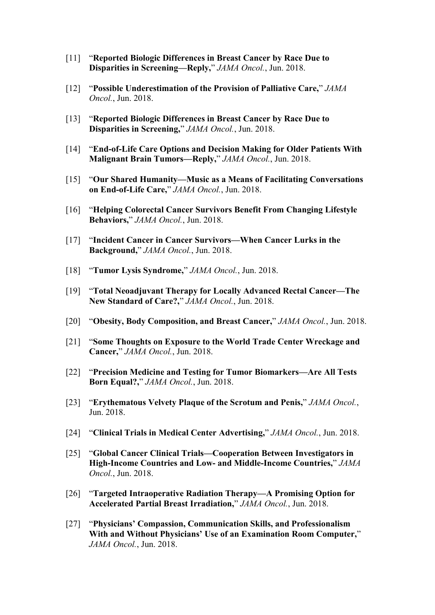- [11] "**Reported Biologic Differences in Breast Cancer by Race Due to Disparities in Screening—Reply,**" *JAMA Oncol.*, Jun. 2018.
- [12] "**Possible Underestimation of the Provision of Palliative Care,**" *JAMA Oncol.*, Jun. 2018.
- [13] "**Reported Biologic Differences in Breast Cancer by Race Due to Disparities in Screening,**" *JAMA Oncol.*, Jun. 2018.
- [14] "**End-of-Life Care Options and Decision Making for Older Patients With Malignant Brain Tumors—Reply,**" *JAMA Oncol.*, Jun. 2018.
- [15] "**Our Shared Humanity—Music as a Means ofFacilitating Conversations on End-of-Life Care,**" *JAMA Oncol.*, Jun. 2018.
- [16] "**Helping Colorectal Cancer Survivors Benefit From Changing Lifestyle Behaviors,**" *JAMA Oncol.*, Jun. 2018.
- [17] "**Incident Cancer in Cancer Survivors—When Cancer Lurks in the Background,**" *JAMA Oncol.*, Jun. 2018.
- [18] "**Tumor Lysis Syndrome,**" *JAMA Oncol.*, Jun. 2018.
- [19] "**Total Neoadjuvant Therapy for Locally Advanced Rectal Cancer—The New Standard of Care?,**" *JAMA Oncol.*, Jun. 2018.
- [20] "**Obesity, Body Composition, and Breast Cancer,**" *JAMA Oncol.*, Jun. 2018.
- [21] "**Some Thoughts on Exposure to the World Trade Center Wreckage and Cancer,**" *JAMA Oncol.*, Jun. 2018.
- [22] "**Precision Medicine and Testing for Tumor Biomarkers—Are All Tests Born Equal?,**" *JAMA Oncol.*, Jun. 2018.
- [23] "**Erythematous Velvety Plaque of the Scrotum and Penis,**" *JAMA Oncol.*, Jun. 2018.
- [24] "**Clinical Trials in Medical Center Advertising,**" *JAMA Oncol.*, Jun. 2018.
- [25] "**Global Cancer Clinical Trials—Cooperation Between Investigators in High-Income Countries and Low- and Middle-Income Countries,**" *JAMA Oncol.*, Jun. 2018.
- [26] "**Targeted Intraoperative Radiation Therapy—A Promising Option for Accelerated Partial Breast Irradiation,**" *JAMA Oncol.*, Jun. 2018.
- [27] "**Physicians' Compassion, Communication Skills, and Professionalism With and Without Physicians' Use of an Examination Room Computer,**" *JAMA Oncol.*, Jun. 2018.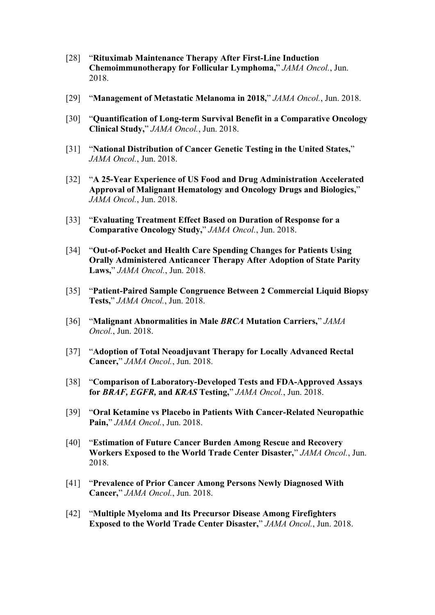- [28] "**Rituximab Maintenance Therapy After First-Line Induction Chemoimmunotherapy for Follicular Lymphoma,**" *JAMA Oncol.*, Jun. 2018.
- [29] "**Management of Metastatic Melanoma in 2018,**" *JAMA Oncol.*, Jun. 2018.
- [30] "**Quantification of Long-term Survival Benefit in a Comparative Oncology Clinical Study,**" *JAMA Oncol.*, Jun. 2018.
- [31] "**National Distribution of Cancer Genetic Testing in the United States,**" *JAMA Oncol.*, Jun. 2018.
- [32] "**A 25-Year Experience of US Food and Drug Administration Accelerated Approval of Malignant Hematology and Oncology Drugs and Biologics,**" *JAMA Oncol.*, Jun. 2018.
- [33] "**Evaluating Treatment Effect Based on Duration of Response for a Comparative Oncology Study,**" *JAMA Oncol.*, Jun. 2018.
- [34] "**Out-of-Pocket and Health Care Spending Changes for Patients Using Orally Administered Anticancer Therapy After Adoption of State Parity Laws,**" *JAMA Oncol.*, Jun. 2018.
- [35] "**Patient-Paired Sample Congruence Between 2 Commercial Liquid Biopsy Tests,**" *JAMA Oncol.*, Jun. 2018.
- [36] "**Malignant Abnormalities in Male** *BRCA* **Mutation Carriers,**" *JAMA Oncol.*, Jun. 2018.
- [37] "**Adoption of Total Neoadjuvant Therapy for Locally Advanced Rectal Cancer,**" *JAMA Oncol.*, Jun. 2018.
- [38] "**Comparison of Laboratory-Developed Tests and FDA-Approved Assays for** *BRAF, EGFR,* **and** *KRAS* **Testing,**" *JAMA Oncol.*, Jun. 2018.
- [39] "**Oral Ketamine vs Placebo in Patients With Cancer-Related Neuropathic Pain,**" *JAMA Oncol.*, Jun. 2018.
- [40] "**Estimation of Future Cancer Burden Among Rescue and Recovery Workers Exposed to the World Trade Center Disaster,**" *JAMA Oncol.*, Jun. 2018.
- [41] "**Prevalence of Prior Cancer Among Persons Newly Diagnosed With Cancer,**" *JAMA Oncol.*, Jun. 2018.
- [42] "**Multiple Myeloma and Its Precursor Disease Among Firefighters Exposed to the World Trade Center Disaster," JAMA Oncol., Jun. 2018.**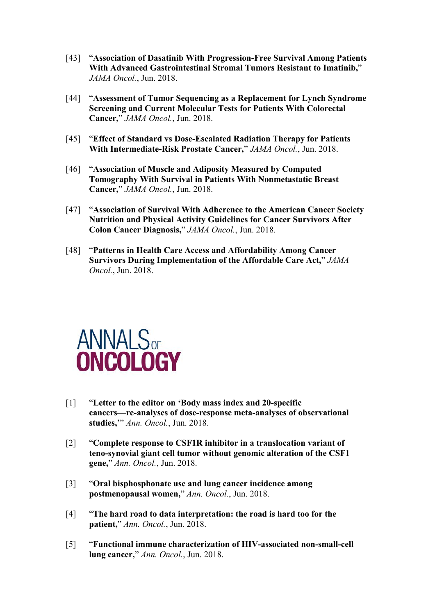- [43] "**Association of Dasatinib With Progression-Free Survival Among Patients With Advanced Gastrointestinal Stromal Tumors Resistant to Imatinib,**" *JAMA Oncol.*, Jun. 2018.
- [44] "**Assessment of Tumor Sequencing as a Replacement for Lynch Syndrome Screening and Current Molecular Tests for Patients With Colorectal Cancer,**" *JAMA Oncol.*, Jun. 2018.
- [45] "**Effect of Standard vs Dose-Escalated Radiation Therapy for Patients With Intermediate-Risk Prostate Cancer,**" *JAMA Oncol.*, Jun. 2018.
- [46] "**Association of Muscle and Adiposity Measured by Computed Tomography With Survival in Patients With Nonmetastatic Breast Cancer,**" *JAMA Oncol.*, Jun. 2018.
- [47] "**Association of Survival With Adherence to the American Cancer Society Nutrition and Physical Activity Guidelines for Cancer Survivors After Colon Cancer Diagnosis,**" *JAMA Oncol.*, Jun. 2018.
- [48] "**Patterns in Health Care Access and Affordability Among Cancer Survivors During Implementation of the Affordable Care Act,**" *JAMA Oncol.*, Jun. 2018.



- [1] "**Letter to the editor on 'Body mass index and 20-specific cancers—re-analyses of dose-response meta-analyses of observational studies,'**" *Ann. Oncol.*, Jun. 2018.
- [2] "**Complete response to CSF1R inhibitor in a translocation variant of teno-synovial giant cell tumor without genomic alteration of the CSF1 gene,**" *Ann. Oncol.*, Jun. 2018.
- [3] "**Oral bisphosphonate use and lung cancer incidence among postmenopausal women,**" *Ann. Oncol.*, Jun. 2018.
- [4] "**The hard road todata interpretation: the road is hard too for the patient,**" *Ann. Oncol.*, Jun. 2018.
- [5] "**Functional immune characterization of HIV-associated non-small-cell lung cancer,**" *Ann. Oncol.*, Jun. 2018.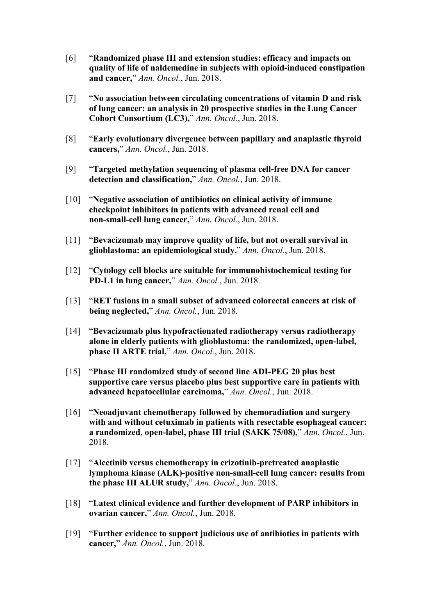- [6] "**Randomized phase III and extension studies: efficacy and impacts on quality of life of naldemedine in subjects with opioid-induced constipation and cancer,**" *Ann. Oncol.*, Jun. 2018.
- [7] "**No association between circulating concentrations ofvitamin D and risk of lung cancer: an analysis in 20 prospective studies in the Lung Cancer Cohort Consortium (LC3),**" *Ann. Oncol.*, Jun. 2018.
- [8] "**Early evolutionary divergence between papillary and anaplastic thyroid cancers,**" *Ann. Oncol.*, Jun. 2018.
- [9] "**Targeted methylation sequencing of plasma cell-free DNA for cancer detection and classification,**" *Ann. Oncol.*, Jun. 2018.
- [10] "**Negative association of antibiotics on clinical activity of immune checkpoint inhibitors in patients with advanced renal cell and non-small-cell lung cancer,**" *Ann. Oncol.*, Jun. 2018.
- [11] "**Bevacizumab may improve quality of life, but not overall survival in glioblastoma: an epidemiological study,**" *Ann. Oncol.*, Jun. 2018.
- [12] "**Cytology cell blocks are suitable for immunohistochemical testing for PD-L1 in lung cancer,**" *Ann. Oncol.*, Jun. 2018.
- [13] "**RET fusions in a small subset of advanced colorectal cancers at risk of being neglected,**" *Ann. Oncol.*, Jun. 2018.
- [14] "**Bevacizumab plus hypofractionated radiotherapy versus radiotherapy alone in elderly patients with glioblastoma: the randomized, open-label, phase IIARTE trial,**" *Ann. Oncol.*, Jun. 2018.
- [15] "**Phase III randomized study of second line ADI-PEG 20 plus best supportive care versus placebo plus best supportive care in patients with advanced hepatocellular carcinoma,**" *Ann. Oncol.*, Jun. 2018.
- [16] "**Neoadjuvant chemotherapy followed by chemoradiation and surgery with and without cetuximab in patients with resectable esophageal cancer: a randomized, open-label, phase III trial (SAKK 75/08),**" *Ann. Oncol.*, Jun. 2018.
- [17] "**Alectinib versus chemotherapy in crizotinib-pretreated anaplastic lymphoma kinase (ALK)-positive non-small-cell lung cancer: results from the phase III ALUR study,**" *Ann. Oncol.*, Jun. 2018.
- [18] "**Latest clinical evidence and further development of PARP inhibitors in ovarian cancer,**" *Ann. Oncol.*, Jun. 2018.
- [19] "**Further evidence to support judicious use of antibiotics in patients with cancer,**" *Ann. Oncol.*, Jun. 2018.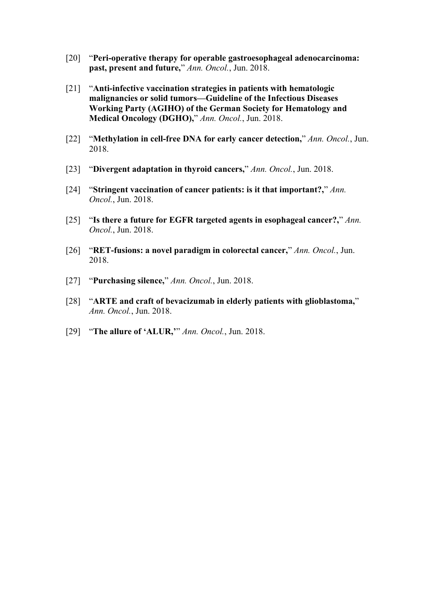- [20] "**Peri-operative therapy for operable gastroesophageal adenocarcinoma: past, present and future,**" *Ann. Oncol.*, Jun. 2018.
- [21] "**Anti-infective vaccination strategies in patients with hematologic malignancies or solid tumors—Guideline of the Infectious Diseases Working Party (AGIHO) of the German Society for Hematology and Medical Oncology (DGHO),**" *Ann. Oncol.*, Jun. 2018.
- [22] "**Methylation in cell-free DNA for early cancer detection,**" *Ann. Oncol.*, Jun. 2018.
- [23] "**Divergent adaptation in thyroid cancers,**" *Ann. Oncol.*, Jun. 2018.
- [24] "**Stringent vaccination of cancer patients: is it that important?,**" *Ann. Oncol.*, Jun. 2018.
- [25] "**Is there a future for EGFR targeted agents in esophageal cancer?,**" *Ann. Oncol.*, Jun. 2018.
- [26] "**RET-fusions: a novel paradigm in colorectal cancer,**" *Ann. Oncol.*, Jun. 2018.
- [27] "**Purchasing silence,**" *Ann. Oncol.*, Jun. 2018.
- [28] "**ARTE and craft of bevacizumab in elderly patients with glioblastoma,**" *Ann. Oncol.*, Jun. 2018.
- [29] "**The allure of 'ALUR,'**" *Ann. Oncol.*, Jun. 2018.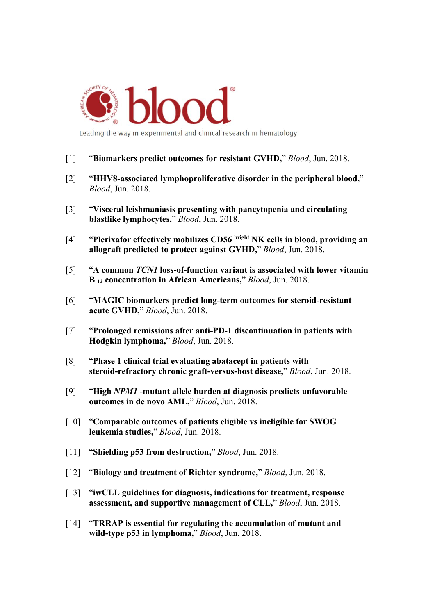

Leading the way in experimental and clinical research in hematology

- [1] "**Biomarkers predict outcomes for resistant GVHD,**" *Blood*, Jun. 2018.
- [2] "**HHV8-associated lymphoproliferative disorder in the peripheral blood,**" *Blood*, Jun. 2018.
- [3] "**Visceral leishmaniasis presenting with pancytopenia and circulating blastlike lymphocytes,**" *Blood*, Jun. 2018.
- [4] "**Plerixafor effectively mobilizes CD56 bright NK cells in blood, providing an allograft predicted to protect against GVHD,**" *Blood*, Jun. 2018.
- [5] "**A common** *TCN1* **loss-of-function variant is associated with lower vitamin B <sup>12</sup> concentration in African Americans,**" *Blood*, Jun. 2018.
- [6] "**MAGIC biomarkers predict long-term outcomes for steroid-resistant acute GVHD,**" *Blood*, Jun. 2018.
- [7] "**Prolonged remissions after anti-PD-1 discontinuation in patients with Hodgkin lymphoma,**" *Blood*, Jun. 2018.
- [8] "**Phase 1 clinical trial evaluating abatacept in patients with steroid-refractory chronic graft-versus-host disease,**" *Blood*, Jun. 2018.
- [9] "**High** *NPM1* **-mutant allele burden at diagnosis predicts unfavorable outcomes in de novo AML,**" *Blood*, Jun. 2018.
- [10] "**Comparable outcomes ofpatients eligible vs ineligible for SWOG leukemia studies,**" *Blood*, Jun. 2018.
- [11] "**Shielding p53 from destruction,**" *Blood*, Jun. 2018.
- [12] "**Biology and treatment of Richter syndrome,**" *Blood*, Jun. 2018.
- [13] "**iwCLL guidelines for diagnosis, indications for treatment, response assessment, and supportive management of CLL,**" *Blood*, Jun. 2018.
- [14] "**TRRAP is essential for regulating the accumulation of mutant and wild-type p53 in lymphoma,**" *Blood*, Jun. 2018.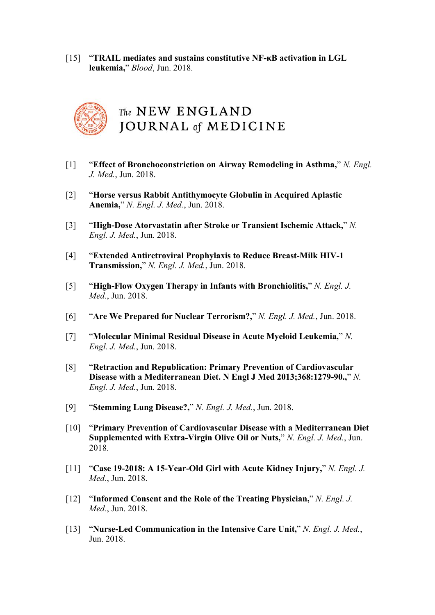[15] "**TRAIL mediates and sustains constitutive NF-κB activation in LGL leukemia,**" *Blood*, Jun. 2018.



- [1] "**Effect of Bronchoconstriction on Airway Remodeling in Asthma,**" *N. Engl. J. Med.*, Jun. 2018.
- [2] "**Horse versus Rabbit Antithymocyte Globulin in Acquired Aplastic Anemia,**" *N. Engl. J. Med.*, Jun. 2018.
- [3] "**High-Dose Atorvastatin after Stroke or Transient Ischemic Attack,**" *N. Engl. J. Med.*, Jun. 2018.
- [4] "**Extended Antiretroviral Prophylaxis to Reduce Breast-Milk HIV-1 Transmission,**" *N. Engl. J. Med.*, Jun. 2018.
- [5] "**High-Flow Oxygen Therapy in Infants with Bronchiolitis,**" *N. Engl. J. Med.*, Jun. 2018.
- [6] "**Are We Prepared for Nuclear Terrorism?,**" *N. Engl. J. Med.*, Jun. 2018.
- [7] "**Molecular Minimal Residual Disease in Acute Myeloid Leukemia,**" *N. Engl. J. Med.*, Jun. 2018.
- [8] "**Retraction and Republication: Primary Prevention of Cardiovascular Disease with a Mediterranean Diet. N Engl J Med 2013;368:1279-90.,**" *N. Engl. J. Med.*, Jun. 2018.
- [9] "**Stemming Lung Disease?,**" *N. Engl. J. Med.*, Jun. 2018.
- [10] "**Primary Prevention of Cardiovascular Disease with a Mediterranean Diet Supplemented with Extra-Virgin Olive Oil or Nuts,**" *N. Engl. J. Med.*, Jun. 2018.
- [11] "**Case 19-2018: A 15-Year-Old Girl with Acute Kidney Injury,**" *N. Engl. J. Med.*, Jun. 2018.
- [12] "**Informed Consent and the Role of the Treating Physician,**" *N. Engl. J. Med.*, Jun. 2018.
- [13] "**Nurse-Led Communication in the Intensive Care Unit,**" *N. Engl. J. Med.*, Jun. 2018.